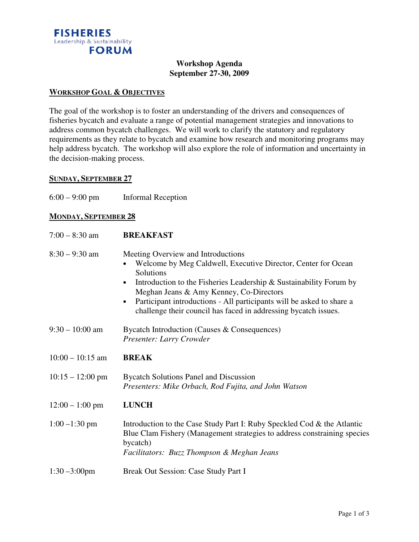

#### **Workshop Agenda September 27-30, 2009**

#### **WORKSHOP GOAL & OBJECTIVES**

The goal of the workshop is to foster an understanding of the drivers and consequences of fisheries bycatch and evaluate a range of potential management strategies and innovations to address common bycatch challenges. We will work to clarify the statutory and regulatory requirements as they relate to bycatch and examine how research and monitoring programs may help address bycatch. The workshop will also explore the role of information and uncertainty in the decision-making process.

## **SUNDAY, SEPTEMBER 27**

| $6:00 - 9:00$ pm<br><b>Informal Reception</b> |
|-----------------------------------------------|
|-----------------------------------------------|

## **MONDAY, SEPTEMBER 28**

| $7:00 - 8:30$ am           | <b>BREAKFAST</b>                                                                                                                                                                                                                                                                                                                                                                                        |
|----------------------------|---------------------------------------------------------------------------------------------------------------------------------------------------------------------------------------------------------------------------------------------------------------------------------------------------------------------------------------------------------------------------------------------------------|
| $8:30 - 9:30$ am           | Meeting Overview and Introductions<br>Welcome by Meg Caldwell, Executive Director, Center for Ocean<br>Solutions<br>Introduction to the Fisheries Leadership & Sustainability Forum by<br>$\bullet$<br>Meghan Jeans & Amy Kenney, Co-Directors<br>Participant introductions - All participants will be asked to share a<br>$\bullet$<br>challenge their council has faced in addressing bycatch issues. |
| $9:30 - 10:00$ am          | Bycatch Introduction (Causes & Consequences)<br>Presenter: Larry Crowder                                                                                                                                                                                                                                                                                                                                |
| $10:00 - 10:15$ am         | <b>BREAK</b>                                                                                                                                                                                                                                                                                                                                                                                            |
| $10:15 - 12:00 \text{ pm}$ | <b>Bycatch Solutions Panel and Discussion</b><br>Presenters: Mike Orbach, Rod Fujita, and John Watson                                                                                                                                                                                                                                                                                                   |
| $12:00 - 1:00$ pm          | <b>LUNCH</b>                                                                                                                                                                                                                                                                                                                                                                                            |
| $1:00 - 1:30$ pm           | Introduction to the Case Study Part I: Ruby Speckled Cod & the Atlantic<br>Blue Clam Fishery (Management strategies to address constraining species<br>bycatch)<br>Facilitators: Buzz Thompson & Meghan Jeans                                                                                                                                                                                           |
| $1:30 - 3:00$ pm           | Break Out Session: Case Study Part I                                                                                                                                                                                                                                                                                                                                                                    |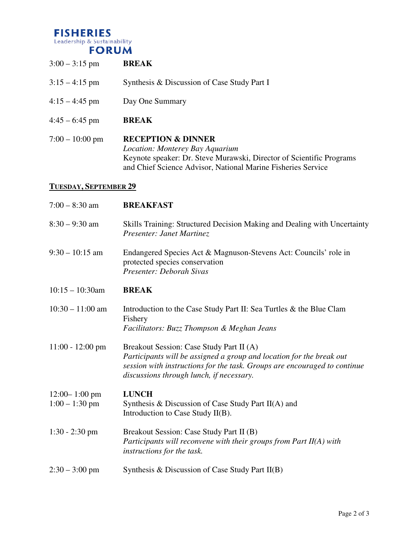#### **FISHERIES** Leadership & Sustainability **FORUM**

3:00 – 3:15 pm **BREAK** 3:15 – 4:15 pm Synthesis & Discussion of Case Study Part I 4:15 – 4:45 pm Day One Summary 4:45 – 6:45 pm **BREAK** 7:00 – 10:00 pm **RECEPTION & DINNER** *Location: Monterey Bay Aquarium* Keynote speaker: Dr. Steve Murawski, Director of Scientific Programs and Chief Science Advisor, National Marine Fisheries Service **TUESDAY, SEPTEMBER 29** 7:00 – 8:30 am **BREAKFAST**

8:30 – 9:30 am Skills Training: Structured Decision Making and Dealing with Uncertainty *Presenter: Janet Martinez* 9:30 – 10:15 am Endangered Species Act & Magnuson-Stevens Act: Councils' role in protected species conservation *Presenter: Deborah Sivas* 10:15 – 10:30am **BREAK** 10:30 – 11:00 am Introduction to the Case Study Part II: Sea Turtles & the Blue Clam Fishery *Facilitators: Buzz Thompson & Meghan Jeans* 11:00 - 12:00 pm Breakout Session: Case Study Part II (A) *Participants will be assigned a group and location for the break out session with instructions for the task. Groups are encouraged to continue discussions through lunch, if necessary.* 12:00– 1:00 pm **LUNCH**  $1:00 - 1:30$  pm Synthesis & Discussion of Case Study Part II(A) and Introduction to Case Study II(B). 1:30 - 2:30 pm Breakout Session: Case Study Part II (B) *Participants will reconvene with their groups from Part II(A) with instructions for the task.* 2:30 – 3:00 pm Synthesis & Discussion of Case Study Part II(B)